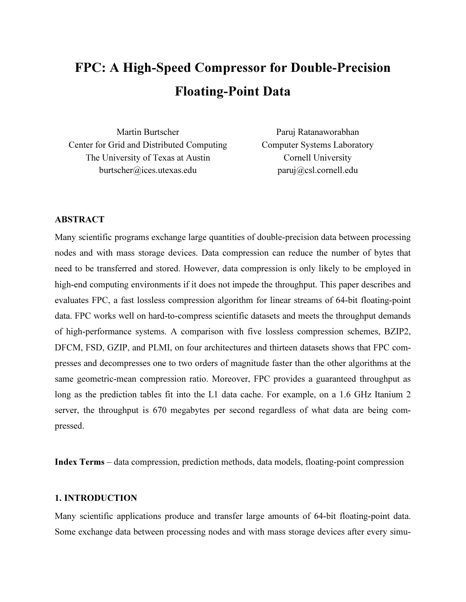# FPC: A High-Speed Compressor for Double-Precision Floating-Point Data

Center for Grid and Distributed Computing Computer Systems Laboratory The University of Texas at Austin Cornell University burtscher@ices.utexas.edu paruj@csl.cornell.edu

Martin Burtscher Paruj Ratanaworabhan

# ABSTRACT

Many scientific programs exchange large quantities of double-precision data between processing nodes and with mass storage devices. Data compression can reduce the number of bytes that need to be transferred and stored. However, data compression is only likely to be employed in high-end computing environments if it does not impede the throughput. This paper describes and evaluates FPC, a fast lossless compression algorithm for linear streams of 64-bit floating-point data. FPC works well on hard-to-compress scientific datasets and meets the throughput demands of high-performance systems. A comparison with five lossless compression schemes, BZIP2, DFCM, FSD, GZIP, and PLMI, on four architectures and thirteen datasets shows that FPC compresses and decompresses one to two orders of magnitude faster than the other algorithms at the same geometric-mean compression ratio. Moreover, FPC provides a guaranteed throughput as long as the prediction tables fit into the L1 data cache. For example, on a 1.6 GHz Itanium 2 server, the throughput is 670 megabytes per second regardless of what data are being compressed.

Index Terms – data compression, prediction methods, data models, floating-point compression

# 1. INTRODUCTION

Many scientific applications produce and transfer large amounts of 64-bit floating-point data. Some exchange data between processing nodes and with mass storage devices after every simu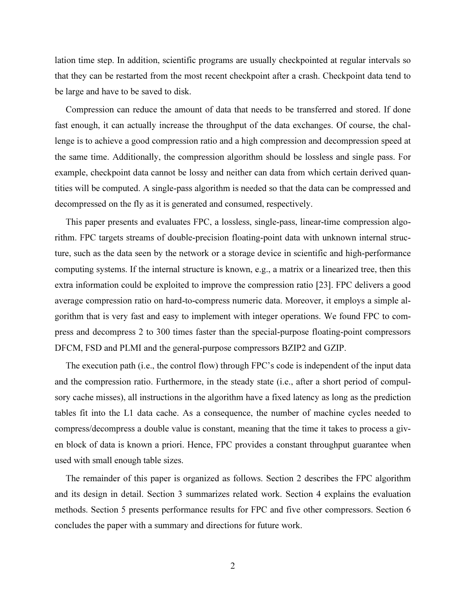lation time step. In addition, scientific programs are usually checkpointed at regular intervals so that they can be restarted from the most recent checkpoint after a crash. Checkpoint data tend to be large and have to be saved to disk.

Compression can reduce the amount of data that needs to be transferred and stored. If done fast enough, it can actually increase the throughput of the data exchanges. Of course, the challenge is to achieve a good compression ratio and a high compression and decompression speed at the same time. Additionally, the compression algorithm should be lossless and single pass. For example, checkpoint data cannot be lossy and neither can data from which certain derived quantities will be computed. A single-pass algorithm is needed so that the data can be compressed and decompressed on the fly as it is generated and consumed, respectively.

This paper presents and evaluates FPC, a lossless, single-pass, linear-time compression algorithm. FPC targets streams of double-precision floating-point data with unknown internal structure, such as the data seen by the network or a storage device in scientific and high-performance computing systems. If the internal structure is known, e.g., a matrix or a linearized tree, then this extra information could be exploited to improve the compression ratio [23]. FPC delivers a good average compression ratio on hard-to-compress numeric data. Moreover, it employs a simple algorithm that is very fast and easy to implement with integer operations. We found FPC to compress and decompress 2 to 300 times faster than the special-purpose floating-point compressors DFCM, FSD and PLMI and the general-purpose compressors BZIP2 and GZIP.

The execution path (i.e., the control flow) through FPC's code is independent of the input data and the compression ratio. Furthermore, in the steady state (i.e., after a short period of compulsory cache misses), all instructions in the algorithm have a fixed latency as long as the prediction tables fit into the L1 data cache. As a consequence, the number of machine cycles needed to compress/decompress a double value is constant, meaning that the time it takes to process a given block of data is known a priori. Hence, FPC provides a constant throughput guarantee when used with small enough table sizes.

The remainder of this paper is organized as follows. Section 2 describes the FPC algorithm and its design in detail. Section 3 summarizes related work. Section 4 explains the evaluation methods. Section 5 presents performance results for FPC and five other compressors. Section 6 concludes the paper with a summary and directions for future work.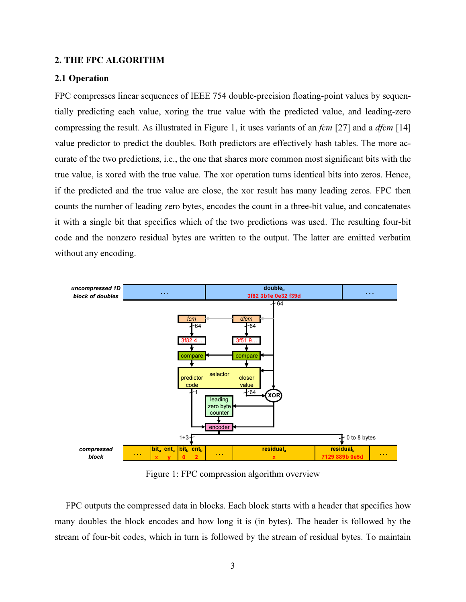# 2. THE FPC ALGORITHM

#### 2.1 Operation

FPC compresses linear sequences of IEEE 754 double-precision floating-point values by sequentially predicting each value, xoring the true value with the predicted value, and leading-zero compressing the result. As illustrated in Figure 1, it uses variants of an  $fcm$  [27] and a  $dfm$  [14] value predictor to predict the doubles. Both predictors are effectively hash tables. The more accurate of the two predictions, i.e., the one that shares more common most significant bits with the true value, is xored with the true value. The xor operation turns identical bits into zeros. Hence, if the predicted and the true value are close, the xor result has many leading zeros. FPC then counts the number of leading zero bytes, encodes the count in a three-bit value, and concatenates it with a single bit that specifies which of the two predictions was used. The resulting four-bit code and the nonzero residual bytes are written to the output. The latter are emitted verbatim without any encoding.



Figure 1: FPC compression algorithm overview

FPC outputs the compressed data in blocks. Each block starts with a header that specifies how many doubles the block encodes and how long it is (in bytes). The header is followed by the stream of four-bit codes, which in turn is followed by the stream of residual bytes. To maintain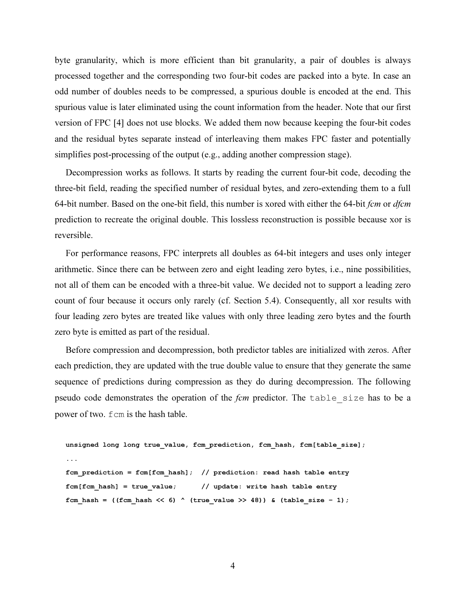byte granularity, which is more efficient than bit granularity, a pair of doubles is always processed together and the corresponding two four-bit codes are packed into a byte. In case an odd number of doubles needs to be compressed, a spurious double is encoded at the end. This spurious value is later eliminated using the count information from the header. Note that our first version of FPC [4] does not use blocks. We added them now because keeping the four-bit codes and the residual bytes separate instead of interleaving them makes FPC faster and potentially simplifies post-processing of the output (e.g., adding another compression stage).

Decompression works as follows. It starts by reading the current four-bit code, decoding the three-bit field, reading the specified number of residual bytes, and zero-extending them to a full 64-bit number. Based on the one-bit field, this number is xored with either the 64-bit *fcm* or *dfcm* prediction to recreate the original double. This lossless reconstruction is possible because xor is reversible.

For performance reasons, FPC interprets all doubles as 64-bit integers and uses only integer arithmetic. Since there can be between zero and eight leading zero bytes, i.e., nine possibilities, not all of them can be encoded with a three-bit value. We decided not to support a leading zero count of four because it occurs only rarely (cf. Section 5.4). Consequently, all xor results with four leading zero bytes are treated like values with only three leading zero bytes and the fourth zero byte is emitted as part of the residual.

Before compression and decompression, both predictor tables are initialized with zeros. After each prediction, they are updated with the true double value to ensure that they generate the same sequence of predictions during compression as they do during decompression. The following pseudo code demonstrates the operation of the *fcm* predictor. The table size has to be a power of two. fcm is the hash table.

```
unsigned long long true value, fcm prediction, fcm hash, fcm[table size];
... 
fcm prediction = fcm[fcm hash]; // prediction: read hash table entry
fcm[fcm hash] = true value; // update: write hash table entry
fcm hash = ((fcm hash << 6) ^ (true value >> 48)) & (table size - 1);
```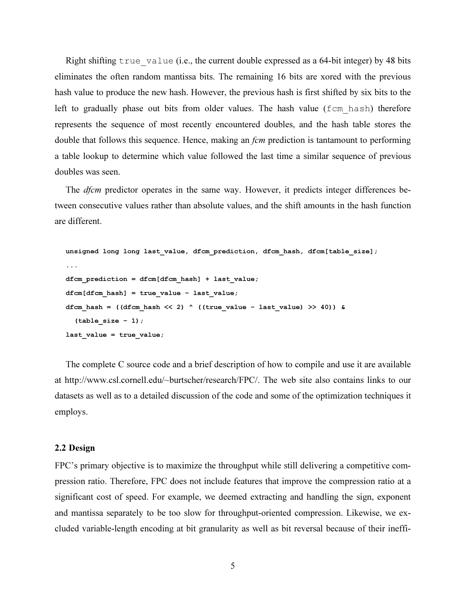Right shifting true value (i.e., the current double expressed as a 64-bit integer) by 48 bits eliminates the often random mantissa bits. The remaining 16 bits are xored with the previous hash value to produce the new hash. However, the previous hash is first shifted by six bits to the left to gradually phase out bits from older values. The hash value (fcm hash) therefore represents the sequence of most recently encountered doubles, and the hash table stores the double that follows this sequence. Hence, making an *fcm* prediction is tantamount to performing a table lookup to determine which value followed the last time a similar sequence of previous doubles was seen.

The *dfcm* predictor operates in the same way. However, it predicts integer differences between consecutive values rather than absolute values, and the shift amounts in the hash function are different.

```
unsigned long long last value, dfcm prediction, dfcm hash, dfcm[table size];
... 
dfcm prediction = dfcm[dfcm hash] + last value;
dfcm[dfcm hash] = true value – last value;
dfcm_hash = ((dfcm_hash << 2) ^ ((true_value - last_value) >> 40)) &
   (table_size – 1); 
last value = true value;
```
The complete C source code and a brief description of how to compile and use it are available at http://www.csl.cornell.edu/~burtscher/research/FPC/. The web site also contains links to our datasets as well as to a detailed discussion of the code and some of the optimization techniques it employs.

# 2.2 Design

FPC's primary objective is to maximize the throughput while still delivering a competitive compression ratio. Therefore, FPC does not include features that improve the compression ratio at a significant cost of speed. For example, we deemed extracting and handling the sign, exponent and mantissa separately to be too slow for throughput-oriented compression. Likewise, we excluded variable-length encoding at bit granularity as well as bit reversal because of their ineffi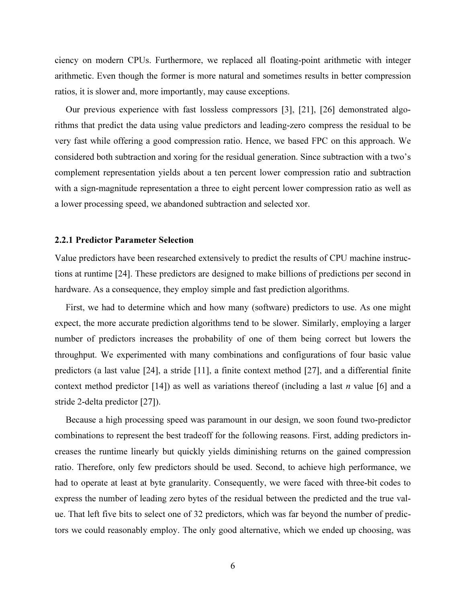ciency on modern CPUs. Furthermore, we replaced all floating-point arithmetic with integer arithmetic. Even though the former is more natural and sometimes results in better compression ratios, it is slower and, more importantly, may cause exceptions.

Our previous experience with fast lossless compressors [3], [21], [26] demonstrated algorithms that predict the data using value predictors and leading-zero compress the residual to be very fast while offering a good compression ratio. Hence, we based FPC on this approach. We considered both subtraction and xoring for the residual generation. Since subtraction with a two's complement representation yields about a ten percent lower compression ratio and subtraction with a sign-magnitude representation a three to eight percent lower compression ratio as well as a lower processing speed, we abandoned subtraction and selected xor.

# 2.2.1 Predictor Parameter Selection

Value predictors have been researched extensively to predict the results of CPU machine instructions at runtime [24]. These predictors are designed to make billions of predictions per second in hardware. As a consequence, they employ simple and fast prediction algorithms.

First, we had to determine which and how many (software) predictors to use. As one might expect, the more accurate prediction algorithms tend to be slower. Similarly, employing a larger number of predictors increases the probability of one of them being correct but lowers the throughput. We experimented with many combinations and configurations of four basic value predictors (a last value [24], a stride [11], a finite context method [27], and a differential finite context method predictor [14]) as well as variations thereof (including a last *n* value [6] and a stride 2-delta predictor [27]).

Because a high processing speed was paramount in our design, we soon found two-predictor combinations to represent the best tradeoff for the following reasons. First, adding predictors increases the runtime linearly but quickly yields diminishing returns on the gained compression ratio. Therefore, only few predictors should be used. Second, to achieve high performance, we had to operate at least at byte granularity. Consequently, we were faced with three-bit codes to express the number of leading zero bytes of the residual between the predicted and the true value. That left five bits to select one of 32 predictors, which was far beyond the number of predictors we could reasonably employ. The only good alternative, which we ended up choosing, was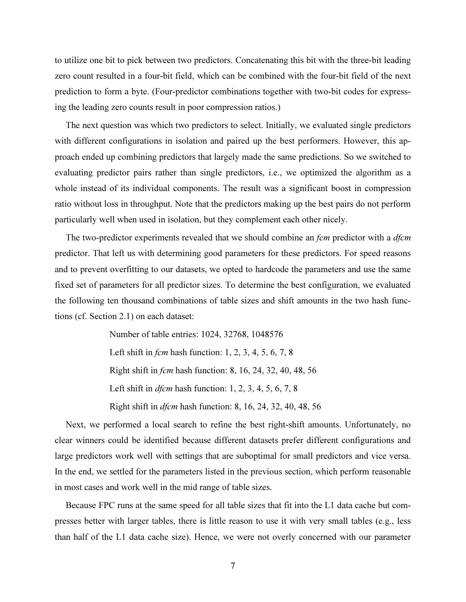to utilize one bit to pick between two predictors. Concatenating this bit with the three-bit leading zero count resulted in a four-bit field, which can be combined with the four-bit field of the next prediction to form a byte. (Four-predictor combinations together with two-bit codes for expressing the leading zero counts result in poor compression ratios.)

The next question was which two predictors to select. Initially, we evaluated single predictors with different configurations in isolation and paired up the best performers. However, this approach ended up combining predictors that largely made the same predictions. So we switched to evaluating predictor pairs rather than single predictors, i.e., we optimized the algorithm as a whole instead of its individual components. The result was a significant boost in compression ratio without loss in throughput. Note that the predictors making up the best pairs do not perform particularly well when used in isolation, but they complement each other nicely.

The two-predictor experiments revealed that we should combine an *fcm* predictor with a *dfcm* predictor. That left us with determining good parameters for these predictors. For speed reasons and to prevent overfitting to our datasets, we opted to hardcode the parameters and use the same fixed set of parameters for all predictor sizes. To determine the best configuration, we evaluated the following ten thousand combinations of table sizes and shift amounts in the two hash functions (cf. Section 2.1) on each dataset:

> Number of table entries: 1024, 32768, 1048576 Left shift in fcm hash function: 1, 2, 3, 4, 5, 6, 7, 8 Right shift in fcm hash function: 8, 16, 24, 32, 40, 48, 56 Left shift in  $d$ fcm hash function: 1, 2, 3, 4, 5, 6, 7, 8 Right shift in dfcm hash function: 8, 16, 24, 32, 40, 48, 56

Next, we performed a local search to refine the best right-shift amounts. Unfortunately, no clear winners could be identified because different datasets prefer different configurations and large predictors work well with settings that are suboptimal for small predictors and vice versa. In the end, we settled for the parameters listed in the previous section, which perform reasonable in most cases and work well in the mid range of table sizes.

Because FPC runs at the same speed for all table sizes that fit into the L1 data cache but compresses better with larger tables, there is little reason to use it with very small tables (e.g., less than half of the L1 data cache size). Hence, we were not overly concerned with our parameter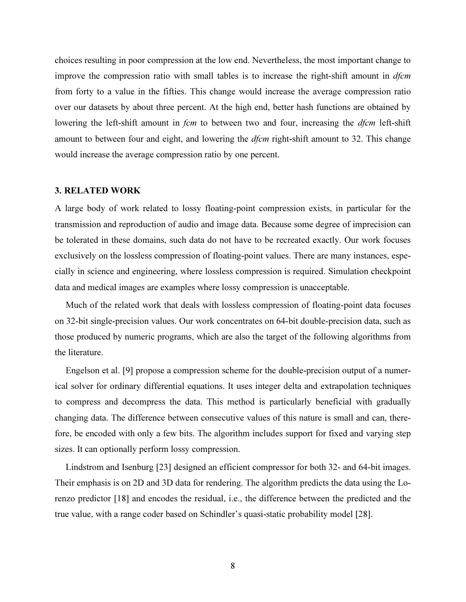choices resulting in poor compression at the low end. Nevertheless, the most important change to improve the compression ratio with small tables is to increase the right-shift amount in  $d$ fcm from forty to a value in the fifties. This change would increase the average compression ratio over our datasets by about three percent. At the high end, better hash functions are obtained by lowering the left-shift amount in *fcm* to between two and four, increasing the *dfcm* left-shift amount to between four and eight, and lowering the *dfcm* right-shift amount to 32. This change would increase the average compression ratio by one percent.

#### 3. RELATED WORK

A large body of work related to lossy floating-point compression exists, in particular for the transmission and reproduction of audio and image data. Because some degree of imprecision can be tolerated in these domains, such data do not have to be recreated exactly. Our work focuses exclusively on the lossless compression of floating-point values. There are many instances, especially in science and engineering, where lossless compression is required. Simulation checkpoint data and medical images are examples where lossy compression is unacceptable.

Much of the related work that deals with lossless compression of floating-point data focuses on 32-bit single-precision values. Our work concentrates on 64-bit double-precision data, such as those produced by numeric programs, which are also the target of the following algorithms from the literature.

Engelson et al. [9] propose a compression scheme for the double-precision output of a numerical solver for ordinary differential equations. It uses integer delta and extrapolation techniques to compress and decompress the data. This method is particularly beneficial with gradually changing data. The difference between consecutive values of this nature is small and can, therefore, be encoded with only a few bits. The algorithm includes support for fixed and varying step sizes. It can optionally perform lossy compression.

Lindstrom and Isenburg [23] designed an efficient compressor for both 32- and 64-bit images. Their emphasis is on 2D and 3D data for rendering. The algorithm predicts the data using the Lorenzo predictor [18] and encodes the residual, i.e., the difference between the predicted and the true value, with a range coder based on Schindler's quasi-static probability model [28].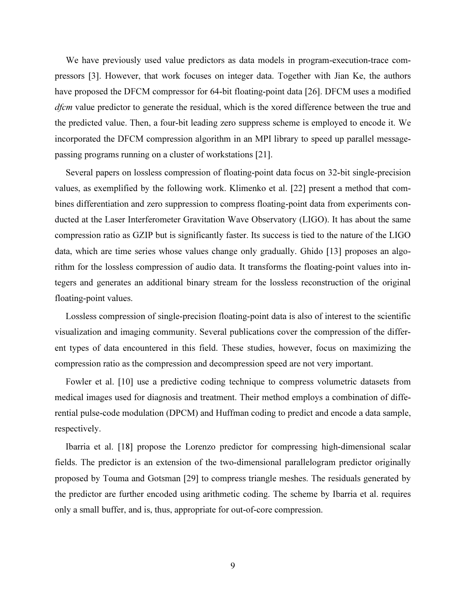We have previously used value predictors as data models in program-execution-trace compressors [3]. However, that work focuses on integer data. Together with Jian Ke, the authors have proposed the DFCM compressor for 64-bit floating-point data [26]. DFCM uses a modified dfcm value predictor to generate the residual, which is the xored difference between the true and the predicted value. Then, a four-bit leading zero suppress scheme is employed to encode it. We incorporated the DFCM compression algorithm in an MPI library to speed up parallel messagepassing programs running on a cluster of workstations [21].

Several papers on lossless compression of floating-point data focus on 32-bit single-precision values, as exemplified by the following work. Klimenko et al. [22] present a method that combines differentiation and zero suppression to compress floating-point data from experiments conducted at the Laser Interferometer Gravitation Wave Observatory (LIGO). It has about the same compression ratio as GZIP but is significantly faster. Its success is tied to the nature of the LIGO data, which are time series whose values change only gradually. Ghido [13] proposes an algorithm for the lossless compression of audio data. It transforms the floating-point values into integers and generates an additional binary stream for the lossless reconstruction of the original floating-point values.

Lossless compression of single-precision floating-point data is also of interest to the scientific visualization and imaging community. Several publications cover the compression of the different types of data encountered in this field. These studies, however, focus on maximizing the compression ratio as the compression and decompression speed are not very important.

Fowler et al. [10] use a predictive coding technique to compress volumetric datasets from medical images used for diagnosis and treatment. Their method employs a combination of differential pulse-code modulation (DPCM) and Huffman coding to predict and encode a data sample, respectively.

Ibarria et al. [18] propose the Lorenzo predictor for compressing high-dimensional scalar fields. The predictor is an extension of the two-dimensional parallelogram predictor originally proposed by Touma and Gotsman [29] to compress triangle meshes. The residuals generated by the predictor are further encoded using arithmetic coding. The scheme by Ibarria et al. requires only a small buffer, and is, thus, appropriate for out-of-core compression.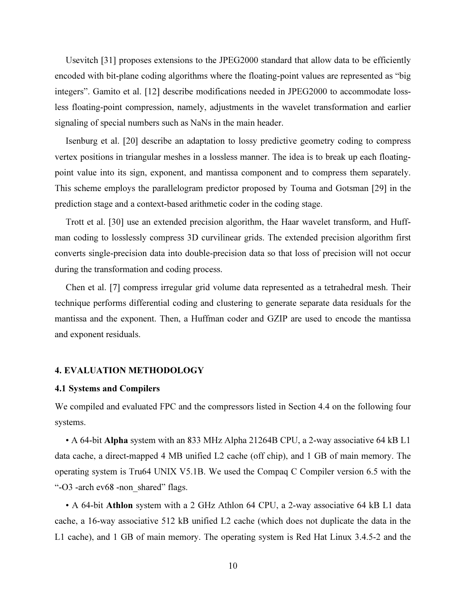Usevitch [31] proposes extensions to the JPEG2000 standard that allow data to be efficiently encoded with bit-plane coding algorithms where the floating-point values are represented as "big integers". Gamito et al. [12] describe modifications needed in JPEG2000 to accommodate lossless floating-point compression, namely, adjustments in the wavelet transformation and earlier signaling of special numbers such as NaNs in the main header.

Isenburg et al. [20] describe an adaptation to lossy predictive geometry coding to compress vertex positions in triangular meshes in a lossless manner. The idea is to break up each floatingpoint value into its sign, exponent, and mantissa component and to compress them separately. This scheme employs the parallelogram predictor proposed by Touma and Gotsman [29] in the prediction stage and a context-based arithmetic coder in the coding stage.

Trott et al. [30] use an extended precision algorithm, the Haar wavelet transform, and Huffman coding to losslessly compress 3D curvilinear grids. The extended precision algorithm first converts single-precision data into double-precision data so that loss of precision will not occur during the transformation and coding process.

Chen et al. [7] compress irregular grid volume data represented as a tetrahedral mesh. Their technique performs differential coding and clustering to generate separate data residuals for the mantissa and the exponent. Then, a Huffman coder and GZIP are used to encode the mantissa and exponent residuals.

#### 4. EVALUATION METHODOLOGY

#### 4.1 Systems and Compilers

We compiled and evaluated FPC and the compressors listed in Section 4.4 on the following four systems.

• A 64-bit Alpha system with an 833 MHz Alpha 21264B CPU, a 2-way associative 64 kB L1 data cache, a direct-mapped 4 MB unified L2 cache (off chip), and 1 GB of main memory. The operating system is Tru64 UNIX V5.1B. We used the Compaq C Compiler version 6.5 with the "-O3 -arch ev68 -non\_shared" flags.

• A 64-bit Athlon system with a 2 GHz Athlon 64 CPU, a 2-way associative 64 kB L1 data cache, a 16-way associative 512 kB unified L2 cache (which does not duplicate the data in the L1 cache), and 1 GB of main memory. The operating system is Red Hat Linux 3.4.5-2 and the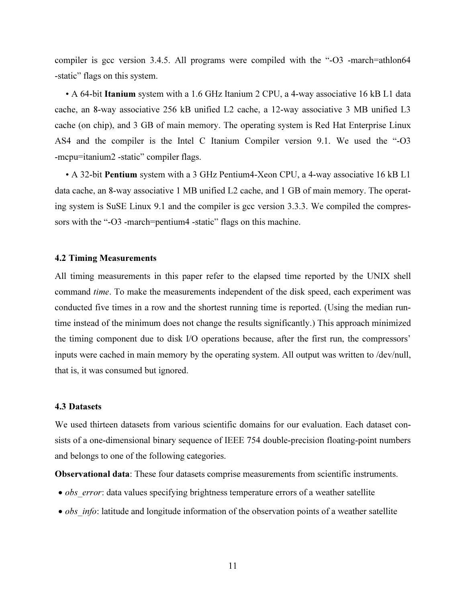compiler is gcc version 3.4.5. All programs were compiled with the "-O3 -march=athlon64 -static" flags on this system.

• A 64-bit Itanium system with a 1.6 GHz Itanium 2 CPU, a 4-way associative 16 kB L1 data cache, an 8-way associative 256 kB unified L2 cache, a 12-way associative 3 MB unified L3 cache (on chip), and 3 GB of main memory. The operating system is Red Hat Enterprise Linux AS4 and the compiler is the Intel C Itanium Compiler version 9.1. We used the "-O3 -mcpu=itanium2 -static" compiler flags.

• A 32-bit Pentium system with a 3 GHz Pentium4-Xeon CPU, a 4-way associative 16 kB L1 data cache, an 8-way associative 1 MB unified L2 cache, and 1 GB of main memory. The operating system is SuSE Linux 9.1 and the compiler is gcc version 3.3.3. We compiled the compressors with the "-O3 -march=pentium4 -static" flags on this machine.

#### 4.2 Timing Measurements

All timing measurements in this paper refer to the elapsed time reported by the UNIX shell command time. To make the measurements independent of the disk speed, each experiment was conducted five times in a row and the shortest running time is reported. (Using the median runtime instead of the minimum does not change the results significantly.) This approach minimized the timing component due to disk I/O operations because, after the first run, the compressors' inputs were cached in main memory by the operating system. All output was written to /dev/null, that is, it was consumed but ignored.

# 4.3 Datasets

We used thirteen datasets from various scientific domains for our evaluation. Each dataset consists of a one-dimensional binary sequence of IEEE 754 double-precision floating-point numbers and belongs to one of the following categories.

Observational data: These four datasets comprise measurements from scientific instruments.

- obs error: data values specifying brightness temperature errors of a weather satellite
- $\bullet$  *obs info*: latitude and longitude information of the observation points of a weather satellite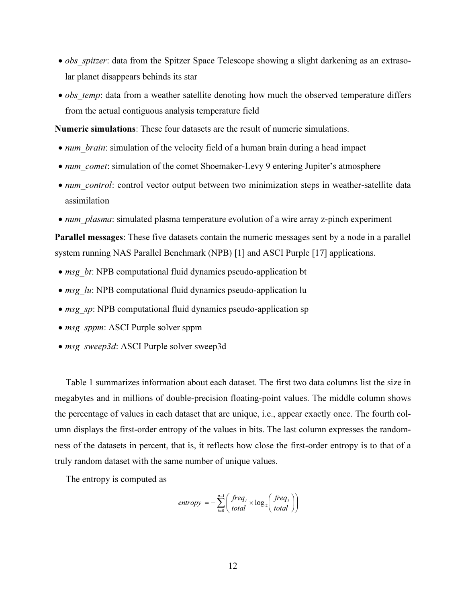- obs spitzer: data from the Spitzer Space Telescope showing a slight darkening as an extrasolar planet disappears behinds its star
- *obs temp*: data from a weather satellite denoting how much the observed temperature differs from the actual contiguous analysis temperature field

Numeric simulations: These four datasets are the result of numeric simulations.

- *num* brain: simulation of the velocity field of a human brain during a head impact
- *num\_comet*: simulation of the comet Shoemaker-Levy 9 entering Jupiter's atmosphere
- *num* control: control vector output between two minimization steps in weather-satellite data assimilation
- num plasma: simulated plasma temperature evolution of a wire array z-pinch experiment

Parallel messages: These five datasets contain the numeric messages sent by a node in a parallel system running NAS Parallel Benchmark (NPB) [1] and ASCI Purple [17] applications.

- *msg bt*: NPB computational fluid dynamics pseudo-application bt
- $msg$  lu: NPB computational fluid dynamics pseudo-application lu
- *msg\_sp*: NPB computational fluid dynamics pseudo-application sp
- msg\_sppm: ASCI Purple solver sppm
- msg\_sweep3d: ASCI Purple solver sweep3d

Table 1 summarizes information about each dataset. The first two data columns list the size in megabytes and in millions of double-precision floating-point values. The middle column shows the percentage of values in each dataset that are unique, i.e., appear exactly once. The fourth column displays the first-order entropy of the values in bits. The last column expresses the randomness of the datasets in percent, that is, it reflects how close the first-order entropy is to that of a truly random dataset with the same number of unique values.

The entropy is computed as

$$
entropy = -\sum_{i=0}^{n-1} \left( \frac{freq_i}{total} \times \log_2 \left( \frac{freq_i}{total} \right) \right)
$$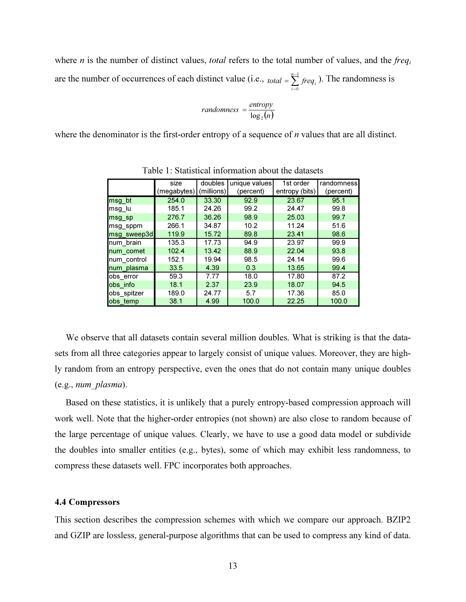where *n* is the number of distinct values, *total* refers to the total number of values, and the *freq<sub>i</sub>* are the number of occurrences of each distinct value (i.e.,  $_{total} = \sum_{ }^{n-1}$ =  $=\sum_{n=1}^{\infty}$  $\overline{0}$ n *total* =  $\sum_{i=0}^{n-1} freq_i$ . The randomness is

$$
randomness = \frac{entropy}{\log_2(n)}
$$

where the denominator is the first-order entropy of a sequence of  $n$  values that are all distinct.

|             | size        | doubles    | unique values | 1st order      | randomness |
|-------------|-------------|------------|---------------|----------------|------------|
|             | (megabytes) | (millions) | (percent)     | entropy (bits) | (percent)  |
| msg_bt      | 254.0       | 33.30      | 92.9          | 23.67          | 95.1       |
| msg lu      | 185.1       | 24.26      | 99.2          | 24.47          | 99.8       |
| msg sp      | 276.7       | 36.26      | 98.9          | 25.03          | 99.7       |
| msg sppm    | 266.1       | 34.87      | 10.2          | 11.24          | 51.6       |
| msg_sweep3d | 119.9       | 15.72      | 89.8          | 23.41          | 98.6       |
| num brain   | 135.3       | 17.73      | 94.9          | 23.97          | 99.9       |
| num comet   | 102.4       | 13.42      | 88.9          | 22.04          | 93.8       |
| num_control | 152.1       | 19.94      | 98.5          | 24.14          | 99.6       |
| num plasma  | 33.5        | 4.39       | 0.3           | 13.65          | 99.4       |
| obs_error   | 59.3        | 7.77       | 18.0          | 17.80          | 87.2       |
| obs info    | 18.1        | 2.37       | 23.9          | 18.07          | 94.5       |
| obs_spitzer | 189.0       | 24.77      | 5.7           | 17.36          | 85.0       |
| obs temp    | 38.1        | 4.99       | 100.0         | 22.25          | 100.0      |

Table 1: Statistical information about the datasets

We observe that all datasets contain several million doubles. What is striking is that the datasets from all three categories appear to largely consist of unique values. Moreover, they are highly random from an entropy perspective, even the ones that do not contain many unique doubles (e.g., num\_plasma).

Based on these statistics, it is unlikely that a purely entropy-based compression approach will work well. Note that the higher-order entropies (not shown) are also close to random because of the large percentage of unique values. Clearly, we have to use a good data model or subdivide the doubles into smaller entities (e.g., bytes), some of which may exhibit less randomness, to compress these datasets well. FPC incorporates both approaches.

# 4.4 Compressors

This section describes the compression schemes with which we compare our approach. BZIP2 and GZIP are lossless, general-purpose algorithms that can be used to compress any kind of data.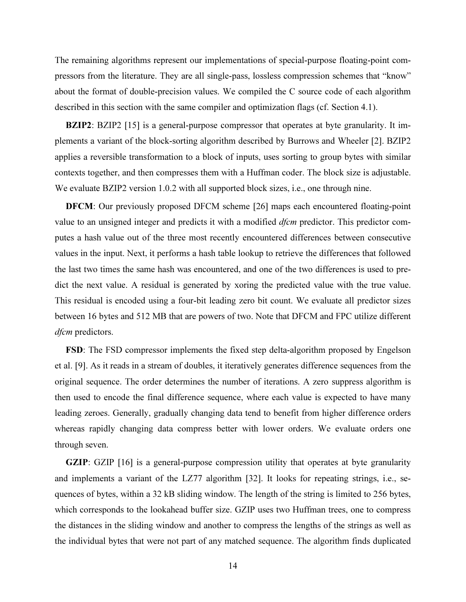The remaining algorithms represent our implementations of special-purpose floating-point compressors from the literature. They are all single-pass, lossless compression schemes that "know" about the format of double-precision values. We compiled the C source code of each algorithm described in this section with the same compiler and optimization flags (cf. Section 4.1).

**BZIP2**: BZIP2 [15] is a general-purpose compressor that operates at byte granularity. It implements a variant of the block-sorting algorithm described by Burrows and Wheeler [2]. BZIP2 applies a reversible transformation to a block of inputs, uses sorting to group bytes with similar contexts together, and then compresses them with a Huffman coder. The block size is adjustable. We evaluate BZIP2 version 1.0.2 with all supported block sizes, *i.e.*, one through nine.

DFCM: Our previously proposed DFCM scheme [26] maps each encountered floating-point value to an unsigned integer and predicts it with a modified *dfcm* predictor. This predictor computes a hash value out of the three most recently encountered differences between consecutive values in the input. Next, it performs a hash table lookup to retrieve the differences that followed the last two times the same hash was encountered, and one of the two differences is used to predict the next value. A residual is generated by xoring the predicted value with the true value. This residual is encoded using a four-bit leading zero bit count. We evaluate all predictor sizes between 16 bytes and 512 MB that are powers of two. Note that DFCM and FPC utilize different dfcm predictors.

FSD: The FSD compressor implements the fixed step delta-algorithm proposed by Engelson et al. [9]. As it reads in a stream of doubles, it iteratively generates difference sequences from the original sequence. The order determines the number of iterations. A zero suppress algorithm is then used to encode the final difference sequence, where each value is expected to have many leading zeroes. Generally, gradually changing data tend to benefit from higher difference orders whereas rapidly changing data compress better with lower orders. We evaluate orders one through seven.

GZIP: GZIP [16] is a general-purpose compression utility that operates at byte granularity and implements a variant of the LZ77 algorithm [32]. It looks for repeating strings, i.e., sequences of bytes, within a 32 kB sliding window. The length of the string is limited to 256 bytes, which corresponds to the lookahead buffer size. GZIP uses two Huffman trees, one to compress the distances in the sliding window and another to compress the lengths of the strings as well as the individual bytes that were not part of any matched sequence. The algorithm finds duplicated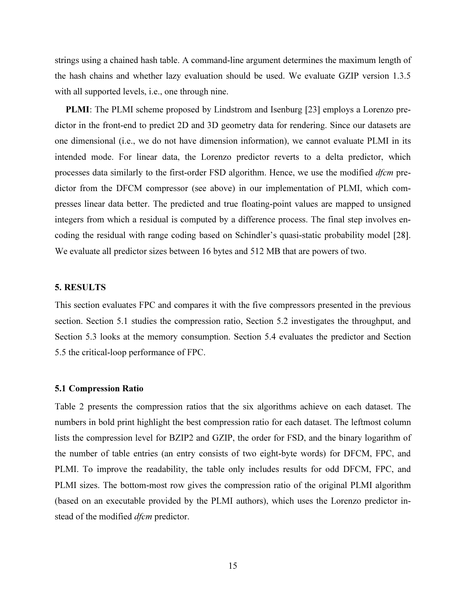strings using a chained hash table. A command-line argument determines the maximum length of the hash chains and whether lazy evaluation should be used. We evaluate GZIP version 1.3.5 with all supported levels, i.e., one through nine.

PLMI: The PLMI scheme proposed by Lindstrom and Isenburg [23] employs a Lorenzo predictor in the front-end to predict 2D and 3D geometry data for rendering. Since our datasets are one dimensional (i.e., we do not have dimension information), we cannot evaluate PLMI in its intended mode. For linear data, the Lorenzo predictor reverts to a delta predictor, which processes data similarly to the first-order FSD algorithm. Hence, we use the modified *dfcm* predictor from the DFCM compressor (see above) in our implementation of PLMI, which compresses linear data better. The predicted and true floating-point values are mapped to unsigned integers from which a residual is computed by a difference process. The final step involves encoding the residual with range coding based on Schindler's quasi-static probability model [28]. We evaluate all predictor sizes between 16 bytes and 512 MB that are powers of two.

#### 5. RESULTS

This section evaluates FPC and compares it with the five compressors presented in the previous section. Section 5.1 studies the compression ratio, Section 5.2 investigates the throughput, and Section 5.3 looks at the memory consumption. Section 5.4 evaluates the predictor and Section 5.5 the critical-loop performance of FPC.

## 5.1 Compression Ratio

Table 2 presents the compression ratios that the six algorithms achieve on each dataset. The numbers in bold print highlight the best compression ratio for each dataset. The leftmost column lists the compression level for BZIP2 and GZIP, the order for FSD, and the binary logarithm of the number of table entries (an entry consists of two eight-byte words) for DFCM, FPC, and PLMI. To improve the readability, the table only includes results for odd DFCM, FPC, and PLMI sizes. The bottom-most row gives the compression ratio of the original PLMI algorithm (based on an executable provided by the PLMI authors), which uses the Lorenzo predictor instead of the modified *dfcm* predictor.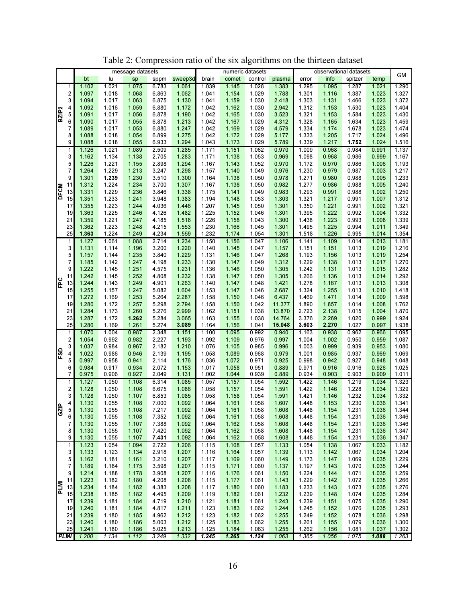|                        |    |       |       | message datasets |       |         |       |       | numeric datasets |        | observational datasets |                |         | GM             |                |
|------------------------|----|-------|-------|------------------|-------|---------|-------|-------|------------------|--------|------------------------|----------------|---------|----------------|----------------|
|                        |    | bt    | lu    | sp               | sppm  | sweep3d | brain | comet | control          | plasma | error                  | info           | spitzer | temp           |                |
|                        | 1  | 1.102 | 1.021 | 1.075            | 6.783 | 1.061   | 1.039 | 1.145 | 1.028            | 1.383  | 1.295                  | 1.095          | 1.287   | 1.021          | 1.290          |
| 2                      |    | 1.097 | 1.018 | 1.068            | 6.863 | 1.062   | 1.041 | 1.154 | 1.029            | 1.788  | 1.301                  | 1.116          | 1.387   | 1.023          | 1.327          |
| 3                      |    | 1.094 | 1.017 | 1.063            | 6.875 | 1.130   | 1.041 | 1.159 | 1.030            | 2.418  | 1.303                  | 1.131          | 1.466   | 1.023          | 1.372          |
| 4                      |    | 1.092 | 1.016 | 1.059            | 6.880 | 1.172   | 1.042 | 1.162 | 1.030            | 2.942  | 1.312                  | 1.153          | 1.530   | 1.023          | 1.404          |
| BZIP <sub>2</sub><br>5 |    | 1.091 | 1.017 | 1.056            | 6.878 | 1.190   | 1.042 | 1.165 | 1.030            | 3.523  | 1.321                  | 1.153          | 1.584   | 1.023          | 1.430          |
| 6                      |    | 1.090 | 1.017 | 1.055            | 6.878 | 1.213   | 1.042 | 1.167 | 1.029            | 4.312  | 1.328                  | 1.165          | 1.634   | 1.023          | 1.459          |
| 7                      |    | 1.089 | 1.017 | 1.053            | 6.880 | 1.247   | 1.042 | 1.169 | 1.029            | 4.579  | 1.334                  | 1.174          | 1.678   | 1.023          | 1.474          |
| 8                      |    | 1.088 | 1.018 | 1.054            | 6.899 | 1.275   | 1.042 | 1.172 | 1.029            | 5.177  | 1.333                  | 1.205          | 1.717   | 1.024          | 1.496          |
| 9                      |    | 1.088 | 1.018 | 1.055            | 6.933 | 1.294   | 1.043 | 1.173 | 1.029            | 5.789  | 1.339                  | 1.217          | 1.752   | 1.024          | 1.516          |
|                        | 1  | 1.126 | 1.021 | 1.089            | 2.509 | 1.285   | 1.171 | 1.151 | 1.062            | 0.970  | 1.009                  | 0.968          | 0.984   | 0.991          | 1.137          |
|                        | 3  | 1.162 | 1.134 | 1.138            | 2.705 | 1.283   | 1.171 | 1.138 | 1.053            | 0.969  | 1.098                  | 0.968          | 0.986   | 0.999          | 1.167          |
| 5                      |    | 1.226 | 1.221 | 1.155            | 2.898 | 1.294   | 1.167 | 1.143 | 1.052            | 0.970  | 1.172                  | 0.970          | 0.986   | 1.006          | 1.193          |
| 7                      |    | 1.264 | 1.229 | 1.213            | 3.247 | 1.298   | 1.157 | 1.140 | 1.049            | 0.976  | 1.230                  | 0.979          | 0.987   | 1.003          | 1.217          |
| 9                      |    | 1.301 | 1.239 | 1.230            | 3.510 | 1.300   | 1.164 | 1.138 | 1.050            | 0.978  | 1.271                  | 0.980          | 0.988   | 1.005          | 1.233          |
| 11                     |    |       | 1.224 | 1.234            | 3.700 | 1.307   |       | 1.138 |                  | 0.982  | 1.277                  |                | 0.988   | 1.005          | 1.240          |
|                        |    | 1.312 |       |                  |       |         | 1.167 |       | 1.050            |        |                        | 0.986          |         | 1.002          |                |
| <b>DFCM</b><br>13      |    | 1.331 | 1.229 | 1.236            | 3.846 | 1.338   | 1.175 | 1.141 | 1.049            | 0.983  | 1.293                  | 0.991          | 0.988   |                | 1.250<br>1.312 |
| 15                     |    | 1.351 | 1.233 | 1.241            | 3.948 | 1.383   | 1.194 | 1.148 | 1.053            | 1.303  | 1.321                  | 1.217          | 0.991   | 1.007          |                |
| 17                     |    | 1.355 | 1.223 | 1.244            | 4.036 | 1.446   | 1.207 | 1.145 | 1.050            | 1.301  | 1.350                  | 1.221          | 0.991   | 1.002          | 1.321          |
| 19                     |    | 1.363 | 1.225 | 1.246            | 4.126 | 1.482   | 1.225 | 1.152 | 1.046            | 1.301  | 1.395                  | 1.222          | 0.992   | 1.004          | 1.332          |
| 21                     |    | 1.359 | 1.221 | 1.247            | 4.185 | 1.518   | 1.226 | 1.158 | 1.043            | 1.300  | 1.438                  | 1.223          | 0.993   | 1.008          | 1.339          |
| 23                     |    | 1.362 | 1.223 | 1.248            | 4.215 | 1.553   | 1.230 | 1.166 | 1.045            | 1.301  | 1.495                  | 1.225          | 0.994   | 1.011          | 1.349          |
| 25                     |    | 1.363 | 1.224 | 1.249            | 4.234 | 1.559   | 1.232 | 1.174 | 1.054            | 1.301  | 1.518                  | 1.226          | 0.995   | 1.014          | 1.354          |
|                        | 1  | 1.127 | 1.061 | 1.088            | 2.714 | 1.234   | 1.150 | 1.156 | 1.047            | 1.106  | 1.141                  | 1.109          | 1.014   | 1.013          | 1.181          |
| 3                      |    | 1.131 | 1.114 | 1.196            | 3.200 | 1.220   | 1.140 | 1.145 | 1.047            | 1.157  | 1.151                  | 1.151          | 1.013   | 1.019          | 1.216          |
| 5                      |    | 1.157 | 1.144 | 1.235            | 3.840 | 1.229   | 1.131 | 1.146 | 1.047            | 1.268  | 1.193                  | 1.156          | 1.013   | 1.019          | 1.254          |
| 7                      |    | 1.185 | 1.142 | 1.247            | 4.198 | 1.233   | 1.130 | 1.147 | 1.049            | 1.312  | 1.229                  | 1.138          | 1.013   | 1.017          | 1.270          |
| 9                      |    | 1.222 | 1.145 | 1.251            | 4.575 | 1.231   | 1.136 | 1.146 | 1.050            | 1.305  | 1.242                  | 1.131          | 1.013   | 1.015          | 1.282          |
| 11                     |    | 1.242 | 1.145 | 1.252            | 4.808 | 1.232   | 1.138 | 1.147 | 1.050            | 1.305  | 1.266                  | 1.136          | 1.013   | 1.014          | 1.292          |
| FPC<br>13              |    | 1.244 | 1.143 | 1.249            | 4.901 | 1.263   | 1.140 | 1.147 | 1.048            | 1.421  | 1.278                  | 1.167          | 1.013   | 1.013          | 1.308          |
|                        | 15 | 1.255 | 1.157 | 1.247            | 5.082 | 1.604   | 1.153 | 1.147 | 1.046            | 2.687  | 1.324                  | 1.255          | 1.013   | 1.010          | 1.418          |
| 17                     |    | 1.272 | 1.169 | 1.253            | 5.264 | 2.287   | 1.158 | 1.150 | 1.046            | 6.437  | 1.469                  | 1.471          | 1.014   | 1.009          | 1.598          |
| 19                     |    | 1.280 | 1.172 | 1.257            | 5.298 | 2.794   | 1.158 | 1.150 | 1.042            | 11.377 | 1.890                  | 1.857          | 1.014   | 1.008          | 1.762          |
| 21                     |    | 1.284 | 1.173 | 1.260            | 5.276 | 2.999   | 1.162 | 1.151 | 1.038            | 13.870 | 2.723                  | 2.138          | 1.015   | 1.004          | 1.870          |
| 23                     |    | 1.287 | 1.172 | 1.262            | 5.284 | 3.065   | 1.163 | 1.155 | 1.038            | 14.764 | 3.376                  | 2.269          | 1.020   | 0.999          | 1.924          |
| 25                     |    | 1.286 | 1.169 | 1.261            | 5.274 | 3.089   | 1.164 | 1.156 | 1.041            | 15.048 | 3.603                  | 2.270          | 1.027   | 0.997          | 1.938          |
|                        | 1  | 1.070 | 1.004 | 0.987            | 2.348 | 1.151   | 1.100 | 1.095 | 0.992            | 0.940  | 1.163                  | 0.938          | 0.962   | 0.966          | 1.095          |
| 2                      |    | 1.054 | 0.992 | 0.982            | 2.227 | 1.193   | 1.092 | 1.109 | 0.976            | 0.997  | 1.004                  | 1.002          | 0.950   | 0.959          | 1.087          |
|                        | 3  | 1.037 | 0.984 | 0.967            | 2.182 | 1.210   | 1.076 | 1.105 | 0.985            | 0.996  | 1.003                  | 0.999          | 0.939   | 0.953          | 1.080          |
| FSD<br>4               |    | 1.022 | 0.986 | 0.946            | 2.139 | 1.195   | 1.058 | 1.089 | 0.968            | 0.979  | 1.001                  | 0.985          | 0.937   | 0.969          | 1.069          |
| 5                      |    | 0.997 | 0.958 | 0.941            | 2.114 | 1.176   | 1.036 | 1.072 | 0.971            | 0.925  | 0.998                  | 0.942          | 0.927   | 0.948          | 1.048          |
| 6                      |    | 0.984 | 0.917 | 0.934            | 2.072 | 1.153   | 1.017 | 1.058 | 0.951            | 0.889  | 0.971                  | 0.916          | 0.916   | 0.926          | 1.025          |
| 7                      |    | 0.975 | 0.906 | 0.927            | 2.049 | 1.131   | 1.002 | 1.044 | 0.939            | 0.889  | 0.934                  | 0.903          | 0.903   | 0.909          | 1.011          |
| 1                      |    | 1.127 | 1.050 | 1.108            | 6.314 | 1.085   | 1.057 | 1.157 | 1.054            | 1.592  | 1.422                  | 1.146          | 1.219   | 1.034          | 1.323          |
| 2                      |    | 1.128 | 1.050 | 1.108            | 6.675 | 1.086   | 1.058 | 1.157 | 1.054            | 1.591  | 1.422                  | 1.146          | 1.228   | 1.034          | 1.329          |
| 3                      |    | 1.128 | 1.050 | 1.107            | 6.853 | 1.085   | 1.058 | 1.158 | 1.054            | 1.591  | 1.421                  | 1.146          | 1.232   | 1.034          | 1.332          |
| 4<br>١e                |    | 1.130 | 1.055 | 1.108            | 7.000 | 1.092   | 1.064 | 1.161 | 1.058            | 1.607  | 1.448                  | 1.153          | 1.230   | 1.036          | 1.341          |
| 5<br>5S                |    | 1.130 | 1.055 | 1.108            | 7.217 | 1.092   | 1.064 | 1.161 | 1.058            | 1.608  | 1.448                  | 1.154          | 1.231   | 1.036          | 1.344          |
| 6                      |    | 1.130 | 1.055 | 1.108            | 7.352 | 1.092   | 1.064 | 1.161 | 1.058            | 1.608  | 1.448                  | 1.154          | 1.231   | 1.036          | 1.346          |
|                        | 7  | 1.130 | 1.055 | 1.107            | 7.388 | 1.092   | 1.064 | 1.162 | 1.058            | 1.608  | 1.448                  | 1.154          | 1.231   | 1.036          | 1.346          |
| 8                      |    | 1.130 | 1.055 | 1.107            | 7.420 | 1.092   | 1.064 | 1.162 | 1.058            | 1.608  | 1.448                  | 1.154          | 1.231   | 1.036          | 1.347          |
| 9                      |    | 1.130 | 1.055 | 1.107            | 7.431 | 1.092   | 1.064 | 1.162 | 1.058            | 1.608  | 1.448                  | 1.154          | 1.231   | 1.036          | 1.347          |
| $\overline{1}$         |    | 1.123 | 1.054 | 1.094            | 2.722 | 1.206   | 1.115 | 1.168 | 1.057            | 1.133  | 1.054                  | 1.138          | 1.067   | 1.033          | 1.182          |
|                        | 3  | 1.133 | 1.123 | 1.134            | 2.918 | 1.207   | 1.116 | 1.164 | 1.057            | 1.139  | 1.113                  | 1.142          | 1.067   | 1.034          | 1.204          |
| 5                      |    | 1.162 | 1.181 | 1.161            | 3.210 | 1.207   | 1.117 | 1.169 | 1.060            | 1.149  | 1.173                  | 1.147          | 1.069   | 1.035          | 1.229          |
| 7                      |    | 1.189 | 1.184 | 1.175            | 3.598 | 1.207   | 1.115 | 1.171 | 1.060            | 1.137  | 1.197                  | 1.143          | 1.070   | 1.035          | 1.244          |
| 9                      |    | 1.214 | 1.188 | 1.178            | 3.908 | 1.207   | 1.116 | 1.176 | 1.061            | 1.150  | 1.224                  | 1.144<br>1.142 | 1.071   | 1.035<br>1.035 | 1.259          |
| 11                     |    | 1.223 | 1.182 | 1.180            | 4.208 | 1.208   | 1.115 | 1.177 | 1.061            | 1.143  | 1.229                  |                | 1.072   |                | 1.266          |
| PLMI<br>13             |    | 1.234 | 1.184 | 1.182            | 4.383 | 1.208   | 1.117 | 1.180 | 1.060            | 1.183  | 1.233                  | 1.143          | 1.073   | 1.035          | 1.276          |
| 15                     |    | 1.238 | 1.185 | 1.182            | 4.495 | 1.209   | 1.119 | 1.182 | 1.061            | 1.232  | 1.239                  | 1.148          | 1.074   | 1.035          | 1.284          |
| 17                     |    | 1.239 | 1.181 | 1.184            | 4.719 | 1.210   | 1.121 | 1.181 | 1.061            | 1.243  | 1.239                  | 1.151          | 1.075   | 1.035          | 1.290          |
| 19                     |    | 1.240 | 1.181 | 1.184            | 4.817 | 1.211   | 1.123 | 1.183 | 1.062            | 1.244  | 1.245                  | 1.152          | 1.076   | 1.035          | 1.293          |
| 21                     |    | 1.239 | 1.180 | 1.185            | 4.962 | 1.212   | 1.123 | 1.182 | 1.062            | 1.255  | 1.249                  | 1.152          | 1.078   | 1.036          | 1.298          |
|                        | 23 | 1.240 | 1.180 | 1.186            | 5.003 | 1.212   | 1.125 | 1.183 | 1.062            | 1.255  | 1.261                  | 1.155          | 1.079   | 1.036          | 1.300          |
| 25                     |    | 1.241 | 1.180 | 1.186            | 5.025 | 1.213   | 1.125 | 1.184 | 1.063            | 1.255  | 1.262                  | 1.156          | 1.081   | 1.037          | 1.302          |
| <b>PLMI</b>            |    | 1.200 | 1.134 | 1.112            | 3.249 | 1.332   | 1.245 | 1.265 | 1.124            | 1.063  | 1.365                  | 1.056          | 1.075   | 1.088          | 1.263          |

Table 2: Compression ratio of the six algorithms on the thirteen dataset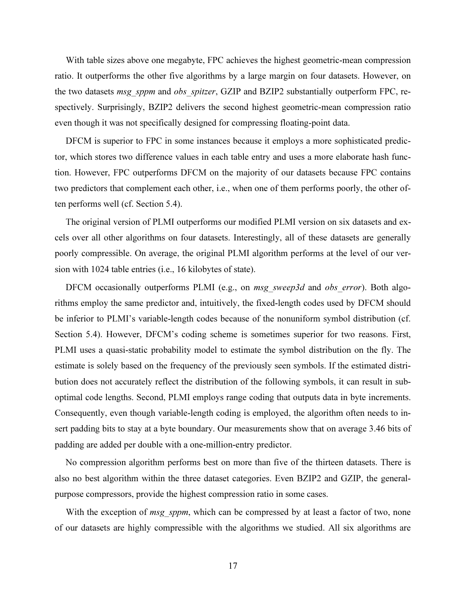With table sizes above one megabyte, FPC achieves the highest geometric-mean compression ratio. It outperforms the other five algorithms by a large margin on four datasets. However, on the two datasets msg\_sppm and obs\_spitzer, GZIP and BZIP2 substantially outperform FPC, respectively. Surprisingly, BZIP2 delivers the second highest geometric-mean compression ratio even though it was not specifically designed for compressing floating-point data.

DFCM is superior to FPC in some instances because it employs a more sophisticated predictor, which stores two difference values in each table entry and uses a more elaborate hash function. However, FPC outperforms DFCM on the majority of our datasets because FPC contains two predictors that complement each other, i.e., when one of them performs poorly, the other often performs well (cf. Section 5.4).

The original version of PLMI outperforms our modified PLMI version on six datasets and excels over all other algorithms on four datasets. Interestingly, all of these datasets are generally poorly compressible. On average, the original PLMI algorithm performs at the level of our version with 1024 table entries (i.e., 16 kilobytes of state).

DFCM occasionally outperforms PLMI (e.g., on msg sweep3d and obs error). Both algorithms employ the same predictor and, intuitively, the fixed-length codes used by DFCM should be inferior to PLMI's variable-length codes because of the nonuniform symbol distribution (cf. Section 5.4). However, DFCM's coding scheme is sometimes superior for two reasons. First, PLMI uses a quasi-static probability model to estimate the symbol distribution on the fly. The estimate is solely based on the frequency of the previously seen symbols. If the estimated distribution does not accurately reflect the distribution of the following symbols, it can result in suboptimal code lengths. Second, PLMI employs range coding that outputs data in byte increments. Consequently, even though variable-length coding is employed, the algorithm often needs to insert padding bits to stay at a byte boundary. Our measurements show that on average 3.46 bits of padding are added per double with a one-million-entry predictor.

No compression algorithm performs best on more than five of the thirteen datasets. There is also no best algorithm within the three dataset categories. Even BZIP2 and GZIP, the generalpurpose compressors, provide the highest compression ratio in some cases.

With the exception of *msg\_sppm*, which can be compressed by at least a factor of two, none of our datasets are highly compressible with the algorithms we studied. All six algorithms are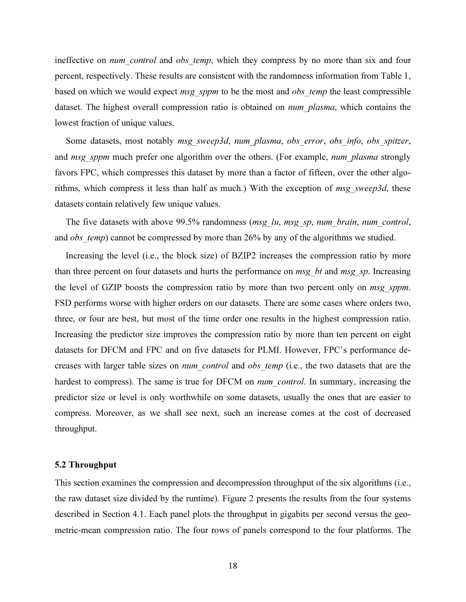ineffective on *num* control and obs temp, which they compress by no more than six and four percent, respectively. These results are consistent with the randomness information from Table 1, based on which we would expect msg sppm to be the most and obs temp the least compressible dataset. The highest overall compression ratio is obtained on *num* plasma, which contains the lowest fraction of unique values.

Some datasets, most notably msg\_sweep3d, num\_plasma, obs\_error, obs\_info, obs\_spitzer, and msg sppm much prefer one algorithm over the others. (For example, num plasma strongly favors FPC, which compresses this dataset by more than a factor of fifteen, over the other algorithms, which compress it less than half as much.) With the exception of msg sweep3d, these datasets contain relatively few unique values.

The five datasets with above 99.5% randomness (*msg\_lu, msg\_sp, num\_brain, num\_control,* and *obs* temp) cannot be compressed by more than 26% by any of the algorithms we studied.

Increasing the level (i.e., the block size) of BZIP2 increases the compression ratio by more than three percent on four datasets and hurts the performance on  $msg$  bt and msg sp. Increasing the level of GZIP boosts the compression ratio by more than two percent only on *msg sppm*. FSD performs worse with higher orders on our datasets. There are some cases where orders two, three, or four are best, but most of the time order one results in the highest compression ratio. Increasing the predictor size improves the compression ratio by more than ten percent on eight datasets for DFCM and FPC and on five datasets for PLMI. However, FPC's performance decreases with larger table sizes on *num* control and obs temp (i.e., the two datasets that are the hardest to compress). The same is true for DFCM on *num control*. In summary, increasing the predictor size or level is only worthwhile on some datasets, usually the ones that are easier to compress. Moreover, as we shall see next, such an increase comes at the cost of decreased throughput.

#### 5.2 Throughput

This section examines the compression and decompression throughput of the six algorithms (i.e., the raw dataset size divided by the runtime). Figure 2 presents the results from the four systems described in Section 4.1. Each panel plots the throughput in gigabits per second versus the geometric-mean compression ratio. The four rows of panels correspond to the four platforms. The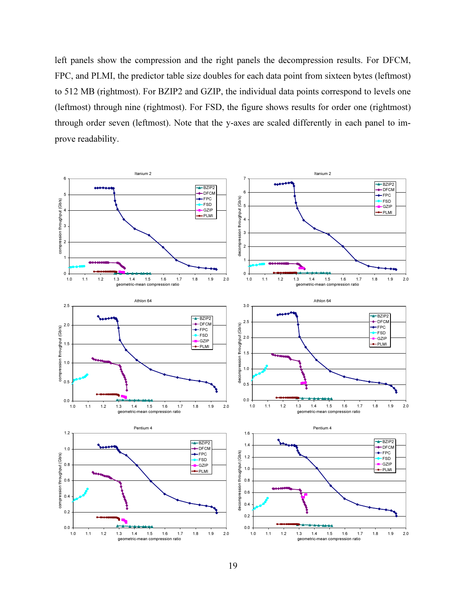left panels show the compression and the right panels the decompression results. For DFCM, FPC, and PLMI, the predictor table size doubles for each data point from sixteen bytes (leftmost) to 512 MB (rightmost). For BZIP2 and GZIP, the individual data points correspond to levels one (leftmost) through nine (rightmost). For FSD, the figure shows results for order one (rightmost) through order seven (leftmost). Note that the y-axes are scaled differently in each panel to improve readability.

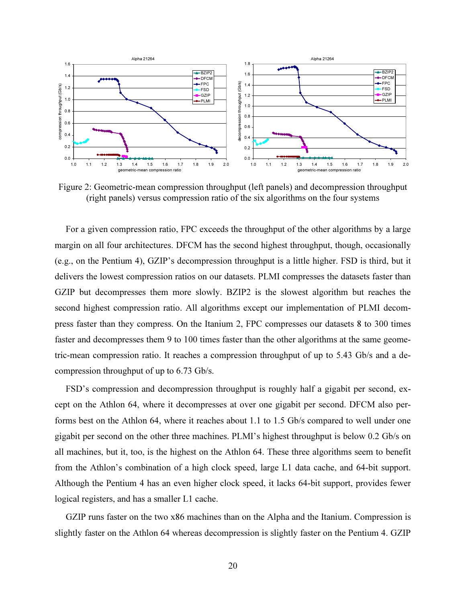

Figure 2: Geometric-mean compression throughput (left panels) and decompression throughput (right panels) versus compression ratio of the six algorithms on the four systems

For a given compression ratio, FPC exceeds the throughput of the other algorithms by a large margin on all four architectures. DFCM has the second highest throughput, though, occasionally (e.g., on the Pentium 4), GZIP's decompression throughput is a little higher. FSD is third, but it delivers the lowest compression ratios on our datasets. PLMI compresses the datasets faster than GZIP but decompresses them more slowly. BZIP2 is the slowest algorithm but reaches the second highest compression ratio. All algorithms except our implementation of PLMI decompress faster than they compress. On the Itanium 2, FPC compresses our datasets 8 to 300 times faster and decompresses them 9 to 100 times faster than the other algorithms at the same geometric-mean compression ratio. It reaches a compression throughput of up to 5.43 Gb/s and a decompression throughput of up to 6.73 Gb/s.

FSD's compression and decompression throughput is roughly half a gigabit per second, except on the Athlon 64, where it decompresses at over one gigabit per second. DFCM also performs best on the Athlon 64, where it reaches about 1.1 to 1.5 Gb/s compared to well under one gigabit per second on the other three machines. PLMI's highest throughput is below 0.2 Gb/s on all machines, but it, too, is the highest on the Athlon 64. These three algorithms seem to benefit from the Athlon's combination of a high clock speed, large L1 data cache, and 64-bit support. Although the Pentium 4 has an even higher clock speed, it lacks 64-bit support, provides fewer logical registers, and has a smaller L1 cache.

GZIP runs faster on the two x86 machines than on the Alpha and the Itanium. Compression is slightly faster on the Athlon 64 whereas decompression is slightly faster on the Pentium 4. GZIP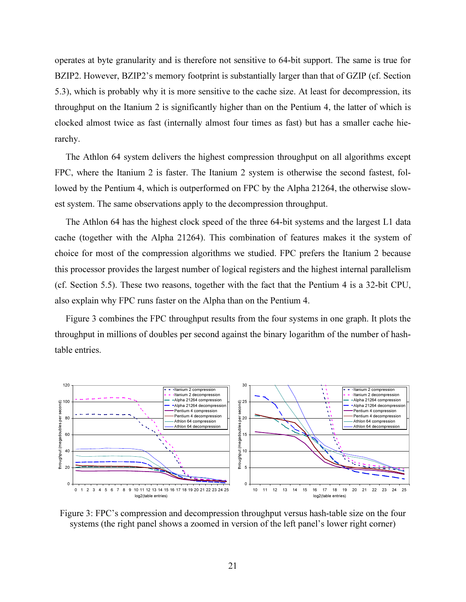operates at byte granularity and is therefore not sensitive to 64-bit support. The same is true for BZIP2. However, BZIP2's memory footprint is substantially larger than that of GZIP (cf. Section 5.3), which is probably why it is more sensitive to the cache size. At least for decompression, its throughput on the Itanium 2 is significantly higher than on the Pentium 4, the latter of which is clocked almost twice as fast (internally almost four times as fast) but has a smaller cache hierarchy.

The Athlon 64 system delivers the highest compression throughput on all algorithms except FPC, where the Itanium 2 is faster. The Itanium 2 system is otherwise the second fastest, followed by the Pentium 4, which is outperformed on FPC by the Alpha 21264, the otherwise slowest system. The same observations apply to the decompression throughput.

The Athlon 64 has the highest clock speed of the three 64-bit systems and the largest L1 data cache (together with the Alpha 21264). This combination of features makes it the system of choice for most of the compression algorithms we studied. FPC prefers the Itanium 2 because this processor provides the largest number of logical registers and the highest internal parallelism (cf. Section 5.5). These two reasons, together with the fact that the Pentium 4 is a 32-bit CPU, also explain why FPC runs faster on the Alpha than on the Pentium 4.

Figure 3 combines the FPC throughput results from the four systems in one graph. It plots the throughput in millions of doubles per second against the binary logarithm of the number of hashtable entries.



Figure 3: FPC's compression and decompression throughput versus hash-table size on the four systems (the right panel shows a zoomed in version of the left panel's lower right corner)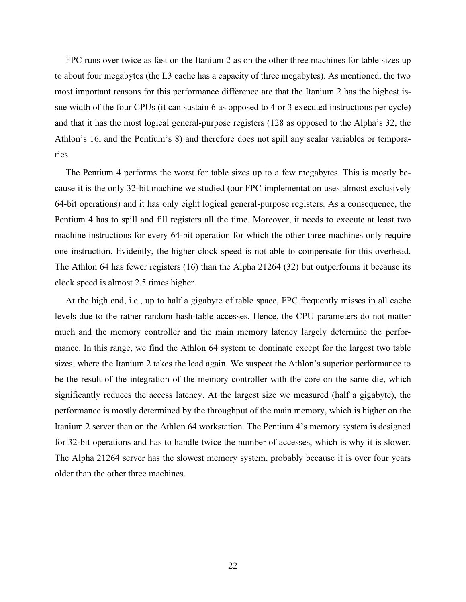FPC runs over twice as fast on the Itanium 2 as on the other three machines for table sizes up to about four megabytes (the L3 cache has a capacity of three megabytes). As mentioned, the two most important reasons for this performance difference are that the Itanium 2 has the highest issue width of the four CPUs (it can sustain 6 as opposed to 4 or 3 executed instructions per cycle) and that it has the most logical general-purpose registers (128 as opposed to the Alpha's 32, the Athlon's 16, and the Pentium's 8) and therefore does not spill any scalar variables or temporaries.

The Pentium 4 performs the worst for table sizes up to a few megabytes. This is mostly because it is the only 32-bit machine we studied (our FPC implementation uses almost exclusively 64-bit operations) and it has only eight logical general-purpose registers. As a consequence, the Pentium 4 has to spill and fill registers all the time. Moreover, it needs to execute at least two machine instructions for every 64-bit operation for which the other three machines only require one instruction. Evidently, the higher clock speed is not able to compensate for this overhead. The Athlon 64 has fewer registers (16) than the Alpha 21264 (32) but outperforms it because its clock speed is almost 2.5 times higher.

At the high end, i.e., up to half a gigabyte of table space, FPC frequently misses in all cache levels due to the rather random hash-table accesses. Hence, the CPU parameters do not matter much and the memory controller and the main memory latency largely determine the performance. In this range, we find the Athlon 64 system to dominate except for the largest two table sizes, where the Itanium 2 takes the lead again. We suspect the Athlon's superior performance to be the result of the integration of the memory controller with the core on the same die, which significantly reduces the access latency. At the largest size we measured (half a gigabyte), the performance is mostly determined by the throughput of the main memory, which is higher on the Itanium 2 server than on the Athlon 64 workstation. The Pentium 4's memory system is designed for 32-bit operations and has to handle twice the number of accesses, which is why it is slower. The Alpha 21264 server has the slowest memory system, probably because it is over four years older than the other three machines.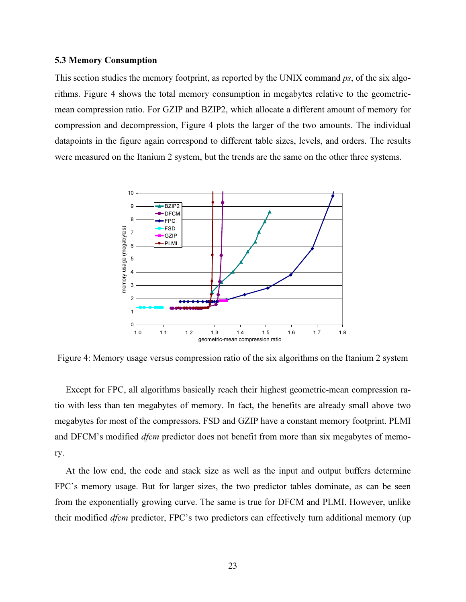## 5.3 Memory Consumption

This section studies the memory footprint, as reported by the UNIX command ps, of the six algorithms. Figure 4 shows the total memory consumption in megabytes relative to the geometricmean compression ratio. For GZIP and BZIP2, which allocate a different amount of memory for compression and decompression, Figure 4 plots the larger of the two amounts. The individual datapoints in the figure again correspond to different table sizes, levels, and orders. The results were measured on the Itanium 2 system, but the trends are the same on the other three systems.



Figure 4: Memory usage versus compression ratio of the six algorithms on the Itanium 2 system

Except for FPC, all algorithms basically reach their highest geometric-mean compression ratio with less than ten megabytes of memory. In fact, the benefits are already small above two megabytes for most of the compressors. FSD and GZIP have a constant memory footprint. PLMI and DFCM's modified *dfcm* predictor does not benefit from more than six megabytes of memory.

At the low end, the code and stack size as well as the input and output buffers determine FPC's memory usage. But for larger sizes, the two predictor tables dominate, as can be seen from the exponentially growing curve. The same is true for DFCM and PLMI. However, unlike their modified *dfcm* predictor, FPC's two predictors can effectively turn additional memory (up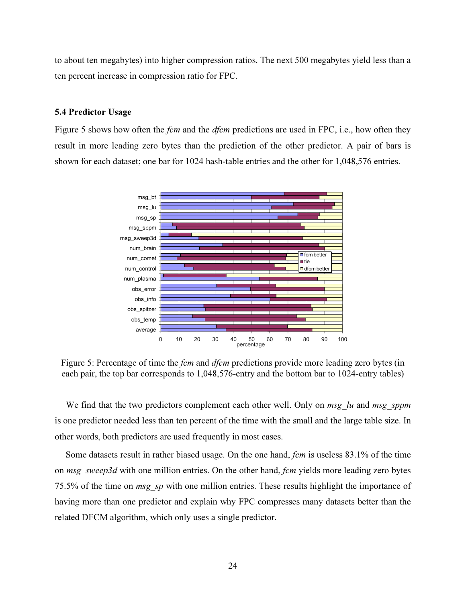to about ten megabytes) into higher compression ratios. The next 500 megabytes yield less than a ten percent increase in compression ratio for FPC.

# 5.4 Predictor Usage

Figure 5 shows how often the *fcm* and the *dfcm* predictions are used in FPC, i.e., how often they result in more leading zero bytes than the prediction of the other predictor. A pair of bars is shown for each dataset; one bar for 1024 hash-table entries and the other for 1,048,576 entries.



Figure 5: Percentage of time the *fcm* and *dfcm* predictions provide more leading zero bytes (in each pair, the top bar corresponds to 1,048,576-entry and the bottom bar to 1024-entry tables)

We find that the two predictors complement each other well. Only on msg  $\lambda u$  and msg sppm is one predictor needed less than ten percent of the time with the small and the large table size. In other words, both predictors are used frequently in most cases.

Some datasets result in rather biased usage. On the one hand, fcm is useless 83.1% of the time on msg\_sweep3d with one million entries. On the other hand, fcm yields more leading zero bytes 75.5% of the time on *msg\_sp* with one million entries. These results highlight the importance of having more than one predictor and explain why FPC compresses many datasets better than the related DFCM algorithm, which only uses a single predictor.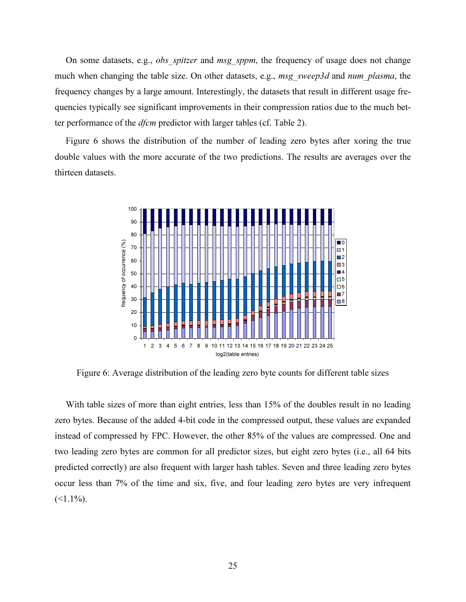On some datasets, e.g., *obs spitzer* and *msg sppm*, the frequency of usage does not change much when changing the table size. On other datasets, e.g., msg\_sweep3d and num\_plasma, the frequency changes by a large amount. Interestingly, the datasets that result in different usage frequencies typically see significant improvements in their compression ratios due to the much better performance of the *dfcm* predictor with larger tables (cf. Table 2).

Figure 6 shows the distribution of the number of leading zero bytes after xoring the true double values with the more accurate of the two predictions. The results are averages over the thirteen datasets.



Figure 6: Average distribution of the leading zero byte counts for different table sizes

With table sizes of more than eight entries, less than 15% of the doubles result in no leading zero bytes. Because of the added 4-bit code in the compressed output, these values are expanded instead of compressed by FPC. However, the other 85% of the values are compressed. One and two leading zero bytes are common for all predictor sizes, but eight zero bytes (i.e., all 64 bits predicted correctly) are also frequent with larger hash tables. Seven and three leading zero bytes occur less than 7% of the time and six, five, and four leading zero bytes are very infrequent  $(\leq 1.1\%)$ .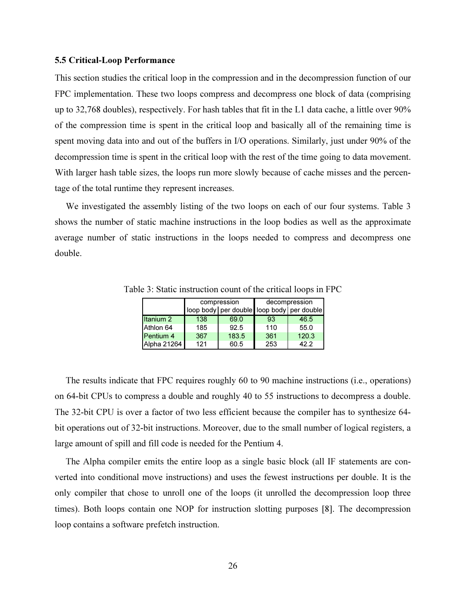#### 5.5 Critical-Loop Performance

This section studies the critical loop in the compression and in the decompression function of our FPC implementation. These two loops compress and decompress one block of data (comprising up to 32,768 doubles), respectively. For hash tables that fit in the L1 data cache, a little over 90% of the compression time is spent in the critical loop and basically all of the remaining time is spent moving data into and out of the buffers in I/O operations. Similarly, just under 90% of the decompression time is spent in the critical loop with the rest of the time going to data movement. With larger hash table sizes, the loops run more slowly because of cache misses and the percentage of the total runtime they represent increases.

We investigated the assembly listing of the two loops on each of our four systems. Table 3 shows the number of static machine instructions in the loop bodies as well as the approximate average number of static instructions in the loops needed to compress and decompress one double.

|                      |     | compression | decompression |                                           |  |  |
|----------------------|-----|-------------|---------------|-------------------------------------------|--|--|
|                      |     |             |               | loop body per double loop body per double |  |  |
| Itanium <sub>2</sub> | 138 | 69.0        | 93            | 46.5                                      |  |  |
| Athlon 64            | 185 | 92.5        | 110           | 55.0                                      |  |  |
| <b>Pentium 4</b>     | 367 | 183.5       | 361           | 120.3                                     |  |  |
| Alpha 21264          | 121 | 60.5        | 253           | 42.2                                      |  |  |

Table 3: Static instruction count of the critical loops in FPC

The results indicate that FPC requires roughly 60 to 90 machine instructions (i.e., operations) on 64-bit CPUs to compress a double and roughly 40 to 55 instructions to decompress a double. The 32-bit CPU is over a factor of two less efficient because the compiler has to synthesize 64 bit operations out of 32-bit instructions. Moreover, due to the small number of logical registers, a large amount of spill and fill code is needed for the Pentium 4.

The Alpha compiler emits the entire loop as a single basic block (all IF statements are converted into conditional move instructions) and uses the fewest instructions per double. It is the only compiler that chose to unroll one of the loops (it unrolled the decompression loop three times). Both loops contain one NOP for instruction slotting purposes [8]. The decompression loop contains a software prefetch instruction.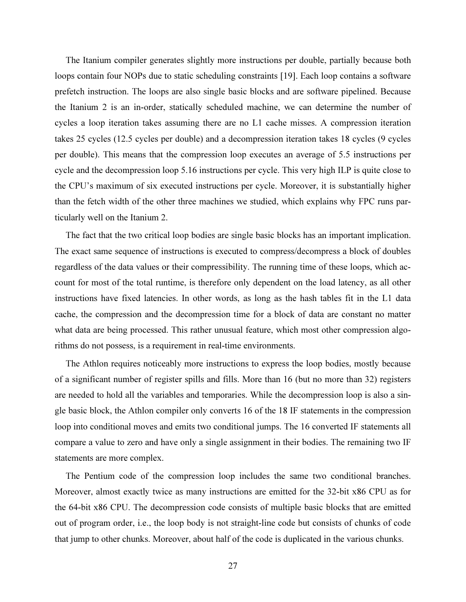The Itanium compiler generates slightly more instructions per double, partially because both loops contain four NOPs due to static scheduling constraints [19]. Each loop contains a software prefetch instruction. The loops are also single basic blocks and are software pipelined. Because the Itanium 2 is an in-order, statically scheduled machine, we can determine the number of cycles a loop iteration takes assuming there are no L1 cache misses. A compression iteration takes 25 cycles (12.5 cycles per double) and a decompression iteration takes 18 cycles (9 cycles per double). This means that the compression loop executes an average of 5.5 instructions per cycle and the decompression loop 5.16 instructions per cycle. This very high ILP is quite close to the CPU's maximum of six executed instructions per cycle. Moreover, it is substantially higher than the fetch width of the other three machines we studied, which explains why FPC runs particularly well on the Itanium 2.

The fact that the two critical loop bodies are single basic blocks has an important implication. The exact same sequence of instructions is executed to compress/decompress a block of doubles regardless of the data values or their compressibility. The running time of these loops, which account for most of the total runtime, is therefore only dependent on the load latency, as all other instructions have fixed latencies. In other words, as long as the hash tables fit in the L1 data cache, the compression and the decompression time for a block of data are constant no matter what data are being processed. This rather unusual feature, which most other compression algorithms do not possess, is a requirement in real-time environments.

The Athlon requires noticeably more instructions to express the loop bodies, mostly because of a significant number of register spills and fills. More than 16 (but no more than 32) registers are needed to hold all the variables and temporaries. While the decompression loop is also a single basic block, the Athlon compiler only converts 16 of the 18 IF statements in the compression loop into conditional moves and emits two conditional jumps. The 16 converted IF statements all compare a value to zero and have only a single assignment in their bodies. The remaining two IF statements are more complex.

The Pentium code of the compression loop includes the same two conditional branches. Moreover, almost exactly twice as many instructions are emitted for the 32-bit x86 CPU as for the 64-bit x86 CPU. The decompression code consists of multiple basic blocks that are emitted out of program order, i.e., the loop body is not straight-line code but consists of chunks of code that jump to other chunks. Moreover, about half of the code is duplicated in the various chunks.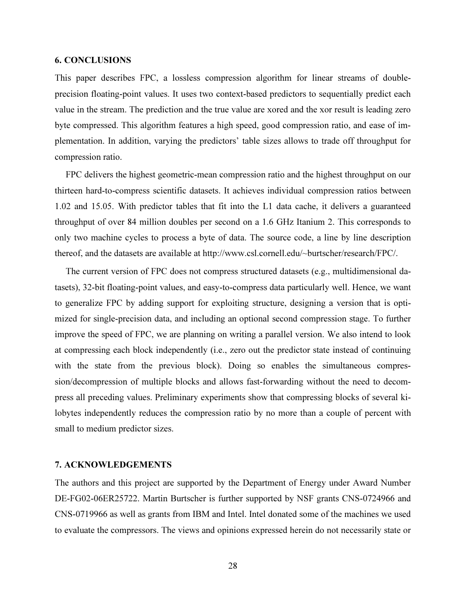# 6. CONCLUSIONS

This paper describes FPC, a lossless compression algorithm for linear streams of doubleprecision floating-point values. It uses two context-based predictors to sequentially predict each value in the stream. The prediction and the true value are xored and the xor result is leading zero byte compressed. This algorithm features a high speed, good compression ratio, and ease of implementation. In addition, varying the predictors' table sizes allows to trade off throughput for compression ratio.

FPC delivers the highest geometric-mean compression ratio and the highest throughput on our thirteen hard-to-compress scientific datasets. It achieves individual compression ratios between 1.02 and 15.05. With predictor tables that fit into the L1 data cache, it delivers a guaranteed throughput of over 84 million doubles per second on a 1.6 GHz Itanium 2. This corresponds to only two machine cycles to process a byte of data. The source code, a line by line description thereof, and the datasets are available at http://www.csl.cornell.edu/~burtscher/research/FPC/.

The current version of FPC does not compress structured datasets (e.g., multidimensional datasets), 32-bit floating-point values, and easy-to-compress data particularly well. Hence, we want to generalize FPC by adding support for exploiting structure, designing a version that is optimized for single-precision data, and including an optional second compression stage. To further improve the speed of FPC, we are planning on writing a parallel version. We also intend to look at compressing each block independently (i.e., zero out the predictor state instead of continuing with the state from the previous block). Doing so enables the simultaneous compression/decompression of multiple blocks and allows fast-forwarding without the need to decompress all preceding values. Preliminary experiments show that compressing blocks of several kilobytes independently reduces the compression ratio by no more than a couple of percent with small to medium predictor sizes.

# 7. ACKNOWLEDGEMENTS

The authors and this project are supported by the Department of Energy under Award Number DE-FG02-06ER25722. Martin Burtscher is further supported by NSF grants CNS-0724966 and CNS-0719966 as well as grants from IBM and Intel. Intel donated some of the machines we used to evaluate the compressors. The views and opinions expressed herein do not necessarily state or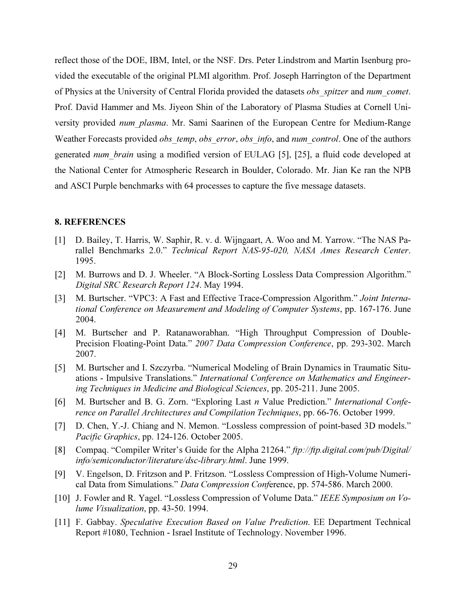reflect those of the DOE, IBM, Intel, or the NSF. Drs. Peter Lindstrom and Martin Isenburg provided the executable of the original PLMI algorithm. Prof. Joseph Harrington of the Department of Physics at the University of Central Florida provided the datasets obs spitzer and num comet. Prof. David Hammer and Ms. Jiyeon Shin of the Laboratory of Plasma Studies at Cornell University provided num plasma. Mr. Sami Saarinen of the European Centre for Medium-Range Weather Forecasts provided *obs\_temp, obs\_error, obs\_info, and num\_control*. One of the authors generated num brain using a modified version of EULAG [5], [25], a fluid code developed at the National Center for Atmospheric Research in Boulder, Colorado. Mr. Jian Ke ran the NPB and ASCI Purple benchmarks with 64 processes to capture the five message datasets.

#### 8. REFERENCES

- [1] D. Bailey, T. Harris, W. Saphir, R. v. d. Wijngaart, A. Woo and M. Yarrow. "The NAS Parallel Benchmarks 2.0." Technical Report NAS-95-020, NASA Ames Research Center. 1995.
- [2] M. Burrows and D. J. Wheeler. "A Block-Sorting Lossless Data Compression Algorithm." Digital SRC Research Report 124. May 1994.
- [3] M. Burtscher. "VPC3: A Fast and Effective Trace-Compression Algorithm." Joint International Conference on Measurement and Modeling of Computer Systems, pp. 167-176. June 2004.
- [4] M. Burtscher and P. Ratanaworabhan. "High Throughput Compression of Double-Precision Floating-Point Data." 2007 Data Compression Conference, pp. 293-302. March 2007.
- [5] M. Burtscher and I. Szczyrba. "Numerical Modeling of Brain Dynamics in Traumatic Situations - Impulsive Translations." International Conference on Mathematics and Engineering Techniques in Medicine and Biological Sciences, pp. 205-211. June 2005.
- [6] M. Burtscher and B. G. Zorn. "Exploring Last n Value Prediction." International Conference on Parallel Architectures and Compilation Techniques, pp. 66-76. October 1999.
- [7] D. Chen, Y.-J. Chiang and N. Memon. "Lossless compression of point-based 3D models." Pacific Graphics, pp. 124-126. October 2005.
- [8] Compaq. "Compiler Writer's Guide for the Alpha 21264." ftp://ftp.digital.com/pub/Digital/ info/semiconductor/literature/dsc-library.html. June 1999.
- [9] V. Engelson, D. Fritzson and P. Fritzson. "Lossless Compression of High-Volume Numerical Data from Simulations." Data Compression Conference, pp. 574-586. March 2000.
- [10] J. Fowler and R. Yagel. "Lossless Compression of Volume Data." IEEE Symposium on Volume Visualization, pp. 43-50. 1994.
- [11] F. Gabbay. Speculative Execution Based on Value Prediction. EE Department Technical Report #1080, Technion - Israel Institute of Technology. November 1996.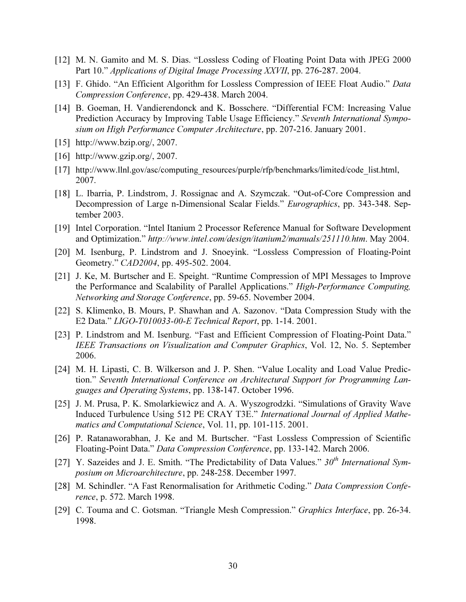- [12] M. N. Gamito and M. S. Dias. "Lossless Coding of Floating Point Data with JPEG 2000 Part 10." Applications of Digital Image Processing XXVII, pp. 276-287. 2004.
- [13] F. Ghido. "An Efficient Algorithm for Lossless Compression of IEEE Float Audio." Data Compression Conference, pp. 429-438. March 2004.
- [14] B. Goeman, H. Vandierendonck and K. Bosschere. "Differential FCM: Increasing Value Prediction Accuracy by Improving Table Usage Efficiency." Seventh International Symposium on High Performance Computer Architecture, pp. 207-216. January 2001.
- [15] http://www.bzip.org/, 2007.
- [16] http://www.gzip.org/, 2007.
- [17] http://www.llnl.gov/asc/computing\_resources/purple/rfp/benchmarks/limited/code\_list.html, 2007.
- [18] L. Ibarria, P. Lindstrom, J. Rossignac and A. Szymczak. "Out-of-Core Compression and Decompression of Large n-Dimensional Scalar Fields." Eurographics, pp. 343-348. September 2003.
- [19] Intel Corporation. "Intel Itanium 2 Processor Reference Manual for Software Development and Optimization." http://www.intel.com/design/itanium2/manuals/251110.htm. May 2004.
- [20] M. Isenburg, P. Lindstrom and J. Snoeyink. "Lossless Compression of Floating-Point Geometry." CAD2004, pp. 495-502. 2004.
- [21] J. Ke, M. Burtscher and E. Speight. "Runtime Compression of MPI Messages to Improve the Performance and Scalability of Parallel Applications." High-Performance Computing, Networking and Storage Conference, pp. 59-65. November 2004.
- [22] S. Klimenko, B. Mours, P. Shawhan and A. Sazonov. "Data Compression Study with the E2 Data." LIGO-T010033-00-E Technical Report, pp. 1-14. 2001.
- [23] P. Lindstrom and M. Isenburg. "Fast and Efficient Compression of Floating-Point Data." IEEE Transactions on Visualization and Computer Graphics, Vol. 12, No. 5. September 2006.
- [24] M. H. Lipasti, C. B. Wilkerson and J. P. Shen. "Value Locality and Load Value Prediction." Seventh International Conference on Architectural Support for Programming Languages and Operating Systems, pp. 138-147. October 1996.
- [25] J. M. Prusa, P. K. Smolarkiewicz and A. A. Wyszogrodzki. "Simulations of Gravity Wave Induced Turbulence Using 512 PE CRAY T3E." International Journal of Applied Mathematics and Computational Science, Vol. 11, pp. 101-115. 2001.
- [26] P. Ratanaworabhan, J. Ke and M. Burtscher. "Fast Lossless Compression of Scientific Floating-Point Data." Data Compression Conference, pp. 133-142. March 2006.
- [27] Y. Sazeides and J. E. Smith. "The Predictability of Data Values."  $30<sup>th</sup> International Sym$ posium on Microarchitecture, pp. 248-258. December 1997.
- [28] M. Schindler. "A Fast Renormalisation for Arithmetic Coding." Data Compression Conference, p. 572. March 1998.
- [29] C. Touma and C. Gotsman. "Triangle Mesh Compression." *Graphics Interface*, pp. 26-34. 1998.